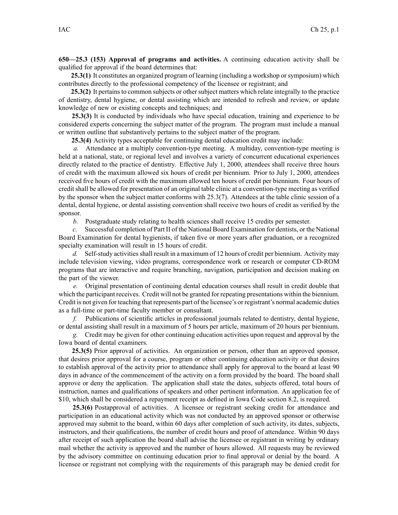**650—25.3 (153) Approval of programs and activities.** A continuing education activity shall be qualified for approval if the board determines that:

**25.3(1)** It constitutes an organized program of learning (including <sup>a</sup> workshop orsymposium) which contributes directly to the professional competency of the licensee or registrant; and

**25.3(2)** It pertains to common subjects or other subject matters which relate integrally to the practice of dentistry, dental hygiene, or dental assisting which are intended to refresh and review, or update knowledge of new or existing concepts and techniques; and

**25.3(3)** It is conducted by individuals who have special education, training and experience to be considered experts concerning the subject matter of the program. The program must include <sup>a</sup> manual or written outline that substantively pertains to the subject matter of the program.

**25.3(4)** Activity types acceptable for continuing dental education credit may include:

*a.* Attendance at <sup>a</sup> multiply convention-type meeting. A multiday, convention-type meeting is held at <sup>a</sup> national, state, or regional level and involves <sup>a</sup> variety of concurrent educational experiences directly related to the practice of dentistry. Effective July 1, 2000, attendees shall receive three hours of credit with the maximum allowed six hours of credit per biennium. Prior to July 1, 2000, attendees received five hours of credit with the maximum allowed ten hours of credit per biennium. Four hours of credit shall be allowed for presentation of an original table clinic at <sup>a</sup> convention-type meeting as verified by the sponsor when the subject matter conforms with 25.3(7). Attendees at the table clinic session of <sup>a</sup> dental, dental hygiene, or dental assisting convention shall receive two hours of credit as verified by the sponsor.

*b.* Postgraduate study relating to health sciences shall receive 15 credits per semester.

*c.* Successful completion of Part II of the National Board Examination for dentists, or the National Board Examination for dental hygienists, if taken five or more years after graduation, or <sup>a</sup> recognized specialty examination will result in 15 hours of credit.

d. Self-study activities shall result in a maximum of 12 hours of credit per biennium. Activity may include television viewing, video programs, correspondence work or research or computer CD-ROM programs that are interactive and require branching, navigation, participation and decision making on the par<sup>t</sup> of the viewer.

*e.* Original presentation of continuing dental education courses shall result in credit double that which the participant receives. Credit will not be granted for repeating presentations within the biennium. Credit is not given for teaching that represents par<sup>t</sup> of the licensee's or registrant's normal academic duties as <sup>a</sup> full-time or part-time faculty member or consultant.

*f.* Publications of scientific articles in professional journals related to dentistry, dental hygiene, or dental assisting shall result in <sup>a</sup> maximum of 5 hours per article, maximum of 20 hours per biennium.

*g.* Credit may be given for other continuing education activities upon reques<sup>t</sup> and approval by the Iowa board of dental examiners.

**25.3(5)** Prior approval of activities. An organization or person, other than an approved sponsor, that desires prior approval for <sup>a</sup> course, program or other continuing education activity or that desires to establish approval of the activity prior to attendance shall apply for approval to the board at least 90 days in advance of the commencement of the activity on <sup>a</sup> form provided by the board. The board shall approve or deny the application. The application shall state the dates, subjects offered, total hours of instruction, names and qualifications of speakers and other pertinent information. An application fee of \$10, which shall be considered <sup>a</sup> repaymen<sup>t</sup> receipt as defined in Iowa Code section 8.2, is required.

**25.3(6)** Postapproval of activities. A licensee or registrant seeking credit for attendance and participation in an educational activity which was not conducted by an approved sponsor or otherwise approved may submit to the board, within 60 days after completion of such activity, its dates, subjects, instructors, and their qualifications, the number of credit hours and proof of attendance. Within 90 days after receipt of such application the board shall advise the licensee or registrant in writing by ordinary mail whether the activity is approved and the number of hours allowed. All requests may be reviewed by the advisory committee on continuing education prior to final approval or denial by the board. A licensee or registrant not complying with the requirements of this paragraph may be denied credit for